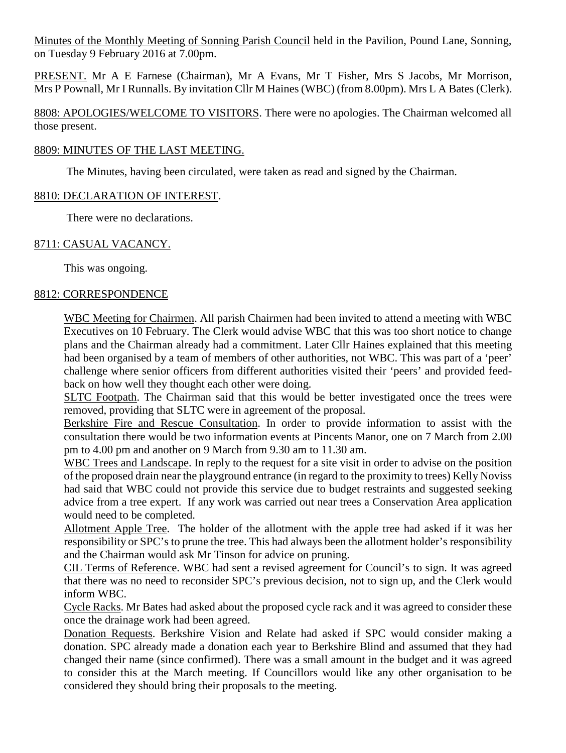Minutes of the Monthly Meeting of Sonning Parish Council held in the Pavilion, Pound Lane, Sonning, on Tuesday 9 February 2016 at 7.00pm.

PRESENT. Mr A E Farnese (Chairman), Mr A Evans, Mr T Fisher, Mrs S Jacobs, Mr Morrison, Mrs P Pownall, Mr I Runnalls. By invitation Cllr M Haines (WBC) (from 8.00pm). Mrs L A Bates (Clerk).

8808: APOLOGIES/WELCOME TO VISITORS. There were no apologies. The Chairman welcomed all those present.

# 8809: MINUTES OF THE LAST MEETING.

The Minutes, having been circulated, were taken as read and signed by the Chairman.

# 8810: DECLARATION OF INTEREST.

There were no declarations.

# 8711: CASUAL VACANCY.

This was ongoing.

#### 8812: CORRESPONDENCE

WBC Meeting for Chairmen. All parish Chairmen had been invited to attend a meeting with WBC Executives on 10 February. The Clerk would advise WBC that this was too short notice to change plans and the Chairman already had a commitment. Later Cllr Haines explained that this meeting had been organised by a team of members of other authorities, not WBC. This was part of a 'peer' challenge where senior officers from different authorities visited their 'peers' and provided feedback on how well they thought each other were doing.

SLTC Footpath. The Chairman said that this would be better investigated once the trees were removed, providing that SLTC were in agreement of the proposal.

Berkshire Fire and Rescue Consultation. In order to provide information to assist with the consultation there would be two information events at Pincents Manor, one on 7 March from 2.00 pm to 4.00 pm and another on 9 March from 9.30 am to 11.30 am.

WBC Trees and Landscape. In reply to the request for a site visit in order to advise on the position of the proposed drain near the playground entrance (in regard to the proximity to trees) Kelly Noviss had said that WBC could not provide this service due to budget restraints and suggested seeking advice from a tree expert. If any work was carried out near trees a Conservation Area application would need to be completed.

Allotment Apple Tree. The holder of the allotment with the apple tree had asked if it was her responsibility or SPC's to prune the tree. This had always been the allotment holder's responsibility and the Chairman would ask Mr Tinson for advice on pruning.

CIL Terms of Reference. WBC had sent a revised agreement for Council's to sign. It was agreed that there was no need to reconsider SPC's previous decision, not to sign up, and the Clerk would inform WBC.

Cycle Racks. Mr Bates had asked about the proposed cycle rack and it was agreed to consider these once the drainage work had been agreed.

Donation Requests. Berkshire Vision and Relate had asked if SPC would consider making a donation. SPC already made a donation each year to Berkshire Blind and assumed that they had changed their name (since confirmed). There was a small amount in the budget and it was agreed to consider this at the March meeting. If Councillors would like any other organisation to be considered they should bring their proposals to the meeting.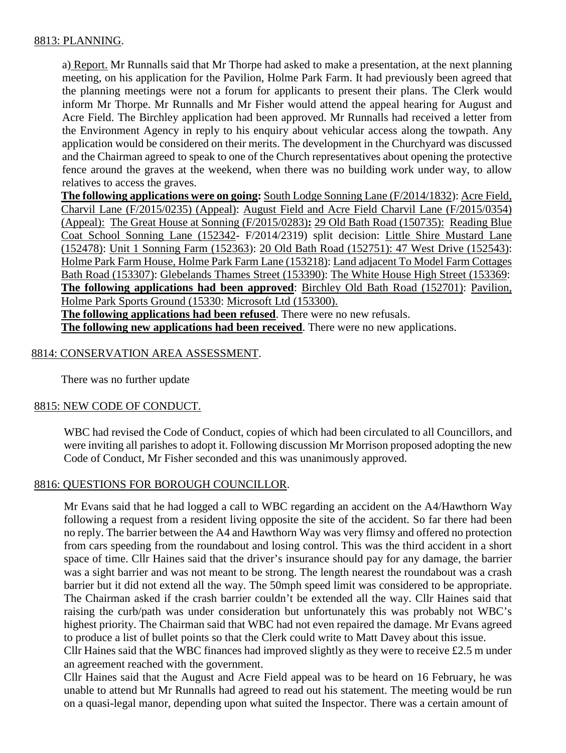# 8813: PLANNING.

a) Report. Mr Runnalls said that Mr Thorpe had asked to make a presentation, at the next planning meeting, on his application for the Pavilion, Holme Park Farm. It had previously been agreed that the planning meetings were not a forum for applicants to present their plans. The Clerk would inform Mr Thorpe. Mr Runnalls and Mr Fisher would attend the appeal hearing for August and Acre Field. The Birchley application had been approved. Mr Runnalls had received a letter from the Environment Agency in reply to his enquiry about vehicular access along the towpath. Any application would be considered on their merits. The development in the Churchyard was discussed and the Chairman agreed to speak to one of the Church representatives about opening the protective fence around the graves at the weekend, when there was no building work under way, to allow relatives to access the graves.

**The following applications were on going:** South Lodge Sonning Lane (F/2014/1832): Acre Field, Charvil Lane (F/2015/0235) (Appeal): August Field and Acre Field Charvil Lane (F/2015/0354) (Appeal): The Great House at Sonning (F/2015/0283)**:** 29 Old Bath Road (150735): Reading Blue Coat School Sonning Lane (152342- F/2014/2319) split decision: Little Shire Mustard Lane (152478): Unit 1 Sonning Farm (152363): 20 Old Bath Road (152751): 47 West Drive (152543): Holme Park Farm House, Holme Park Farm Lane (153218): Land adjacent To Model Farm Cottages Bath Road (153307): Glebelands Thames Street (153390): The White House High Street (153369: **The following applications had been approved**: Birchley Old Bath Road (152701): Pavilion, Holme Park Sports Ground (15330: Microsoft Ltd (153300).

**The following applications had been refused**. There were no new refusals.

**The following new applications had been received**. There were no new applications.

# 8814: CONSERVATION AREA ASSESSMENT.

There was no further update

#### 8815: NEW CODE OF CONDUCT.

WBC had revised the Code of Conduct, copies of which had been circulated to all Councillors, and were inviting all parishes to adopt it. Following discussion Mr Morrison proposed adopting the new Code of Conduct, Mr Fisher seconded and this was unanimously approved.

# 8816: QUESTIONS FOR BOROUGH COUNCILLOR.

Mr Evans said that he had logged a call to WBC regarding an accident on the A4/Hawthorn Way following a request from a resident living opposite the site of the accident. So far there had been no reply. The barrier between the A4 and Hawthorn Way was very flimsy and offered no protection from cars speeding from the roundabout and losing control. This was the third accident in a short space of time. Cllr Haines said that the driver's insurance should pay for any damage, the barrier was a sight barrier and was not meant to be strong. The length nearest the roundabout was a crash barrier but it did not extend all the way. The 50mph speed limit was considered to be appropriate. The Chairman asked if the crash barrier couldn't be extended all the way. Cllr Haines said that raising the curb/path was under consideration but unfortunately this was probably not WBC's highest priority. The Chairman said that WBC had not even repaired the damage. Mr Evans agreed to produce a list of bullet points so that the Clerk could write to Matt Davey about this issue.

Cllr Haines said that the WBC finances had improved slightly as they were to receive  $£2.5$  m under an agreement reached with the government.

Cllr Haines said that the August and Acre Field appeal was to be heard on 16 February, he was unable to attend but Mr Runnalls had agreed to read out his statement. The meeting would be run on a quasi-legal manor, depending upon what suited the Inspector. There was a certain amount of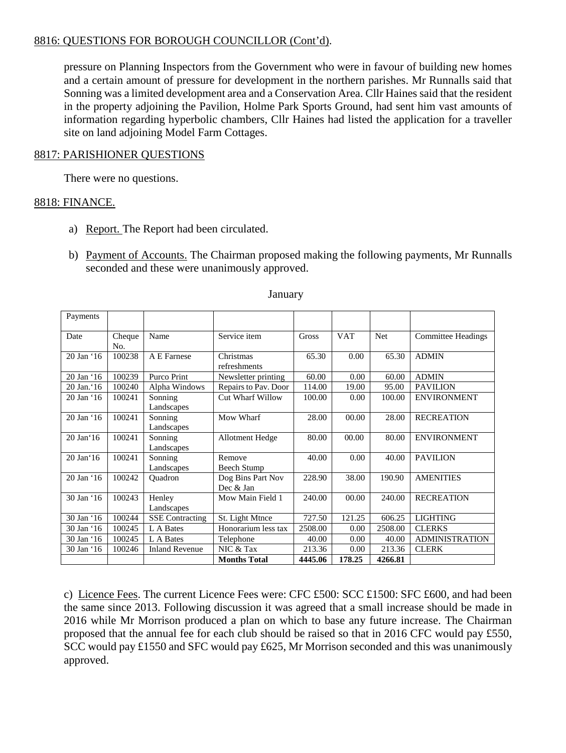# 8816: QUESTIONS FOR BOROUGH COUNCILLOR (Cont'd).

pressure on Planning Inspectors from the Government who were in favour of building new homes and a certain amount of pressure for development in the northern parishes. Mr Runnalls said that Sonning was a limited development area and a Conservation Area. Cllr Haines said that the resident in the property adjoining the Pavilion, Holme Park Sports Ground, had sent him vast amounts of information regarding hyperbolic chambers, Cllr Haines had listed the application for a traveller site on land adjoining Model Farm Cottages.

#### 8817: PARISHIONER QUESTIONS

There were no questions.

#### 8818: FINANCE.

- a) Report. The Report had been circulated.
- b) Payment of Accounts. The Chairman proposed making the following payments, Mr Runnalls seconded and these were unanimously approved.

| Payments            |               |                        |                                |         |            |         |                           |
|---------------------|---------------|------------------------|--------------------------------|---------|------------|---------|---------------------------|
| Date                | Cheque<br>No. | Name                   | Service item                   | Gross   | <b>VAT</b> | Net     | <b>Committee Headings</b> |
| 20 Jan '16          | 100238        | A E Farnese            | Christmas<br>refreshments      | 65.30   | 0.00       | 65.30   | <b>ADMIN</b>              |
| 20 Jan '16          | 100239        | Purco Print            | Newsletter printing            | 60.00   | 0.00       | 60.00   | <b>ADMIN</b>              |
| 20 Jan.'16          | 100240        | Alpha Windows          | Repairs to Pav. Door           | 114.00  | 19.00      | 95.00   | <b>PAVILION</b>           |
| 20 Jan '16          | 100241        | Sonning<br>Landscapes  | Cut Wharf Willow               | 100.00  | 0.00       | 100.00  | <b>ENVIRONMENT</b>        |
| 20 Jan '16          | 100241        | Sonning<br>Landscapes  | Mow Wharf                      | 28.00   | 00.00      | 28.00   | <b>RECREATION</b>         |
| 20 Jan'16           | 100241        | Sonning<br>Landscapes  | Allotment Hedge                | 80.00   | 00.00      | 80.00   | <b>ENVIRONMENT</b>        |
| $20$ Jan $\cdot$ 16 | 100241        | Sonning<br>Landscapes  | Remove<br>Beech Stump          | 40.00   | 0.00       | 40.00   | <b>PAVILION</b>           |
| 20 Jan '16          | 100242        | Ouadron                | Dog Bins Part Nov<br>Dec & Jan | 228.90  | 38.00      | 190.90  | <b>AMENITIES</b>          |
| 30 Jan '16          | 100243        | Henley<br>Landscapes   | Mow Main Field 1               | 240.00  | 00.00      | 240.00  | <b>RECREATION</b>         |
| 30 Jan '16          | 100244        | <b>SSE</b> Contracting | St. Light Mtnce                | 727.50  | 121.25     | 606.25  | <b>LIGHTING</b>           |
| 30 Jan '16          | 100245        | L A Bates              | Honorarium less tax            | 2508.00 | 0.00       | 2508.00 | <b>CLERKS</b>             |
| 30 Jan '16          | 100245        | L A Bates              | Telephone                      | 40.00   | 0.00       | 40.00   | <b>ADMINISTRATION</b>     |
| 30 Jan '16          | 100246        | <b>Inland Revenue</b>  | NIC & Tax                      | 213.36  | 0.00       | 213.36  | <b>CLERK</b>              |
|                     |               |                        | <b>Months Total</b>            | 4445.06 | 178.25     | 4266.81 |                           |

#### January

c) Licence Fees. The current Licence Fees were: CFC £500: SCC £1500: SFC £600, and had been the same since 2013. Following discussion it was agreed that a small increase should be made in 2016 while Mr Morrison produced a plan on which to base any future increase. The Chairman proposed that the annual fee for each club should be raised so that in 2016 CFC would pay £550, SCC would pay £1550 and SFC would pay £625, Mr Morrison seconded and this was unanimously approved.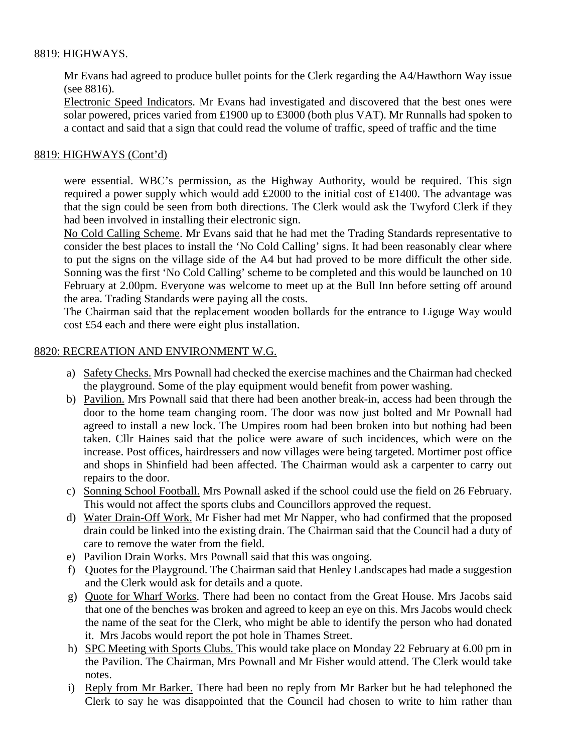# 8819: HIGHWAYS.

Mr Evans had agreed to produce bullet points for the Clerk regarding the A4/Hawthorn Way issue (see 8816).

Electronic Speed Indicators. Mr Evans had investigated and discovered that the best ones were solar powered, prices varied from £1900 up to £3000 (both plus VAT). Mr Runnalls had spoken to a contact and said that a sign that could read the volume of traffic, speed of traffic and the time

# 8819: HIGHWAYS (Cont'd)

were essential. WBC's permission, as the Highway Authority, would be required. This sign required a power supply which would add £2000 to the initial cost of £1400. The advantage was that the sign could be seen from both directions. The Clerk would ask the Twyford Clerk if they had been involved in installing their electronic sign.

No Cold Calling Scheme. Mr Evans said that he had met the Trading Standards representative to consider the best places to install the 'No Cold Calling' signs. It had been reasonably clear where to put the signs on the village side of the A4 but had proved to be more difficult the other side. Sonning was the first 'No Cold Calling' scheme to be completed and this would be launched on 10 February at 2.00pm. Everyone was welcome to meet up at the Bull Inn before setting off around the area. Trading Standards were paying all the costs.

The Chairman said that the replacement wooden bollards for the entrance to Liguge Way would cost £54 each and there were eight plus installation.

#### 8820: RECREATION AND ENVIRONMENT W.G.

- a) Safety Checks. Mrs Pownall had checked the exercise machines and the Chairman had checked the playground. Some of the play equipment would benefit from power washing.
- b) Pavilion. Mrs Pownall said that there had been another break-in, access had been through the door to the home team changing room. The door was now just bolted and Mr Pownall had agreed to install a new lock. The Umpires room had been broken into but nothing had been taken. Cllr Haines said that the police were aware of such incidences, which were on the increase. Post offices, hairdressers and now villages were being targeted. Mortimer post office and shops in Shinfield had been affected. The Chairman would ask a carpenter to carry out repairs to the door.
- c) Sonning School Football. Mrs Pownall asked if the school could use the field on 26 February. This would not affect the sports clubs and Councillors approved the request.
- d) Water Drain-Off Work. Mr Fisher had met Mr Napper, who had confirmed that the proposed drain could be linked into the existing drain. The Chairman said that the Council had a duty of care to remove the water from the field.
- e) Pavilion Drain Works. Mrs Pownall said that this was ongoing.
- f) Quotes for the Playground. The Chairman said that Henley Landscapes had made a suggestion and the Clerk would ask for details and a quote.
- g) Quote for Wharf Works. There had been no contact from the Great House. Mrs Jacobs said that one of the benches was broken and agreed to keep an eye on this. Mrs Jacobs would check the name of the seat for the Clerk, who might be able to identify the person who had donated it. Mrs Jacobs would report the pot hole in Thames Street.
- h) SPC Meeting with Sports Clubs. This would take place on Monday 22 February at 6.00 pm in the Pavilion. The Chairman, Mrs Pownall and Mr Fisher would attend. The Clerk would take notes.
- i) Reply from Mr Barker. There had been no reply from Mr Barker but he had telephoned the Clerk to say he was disappointed that the Council had chosen to write to him rather than